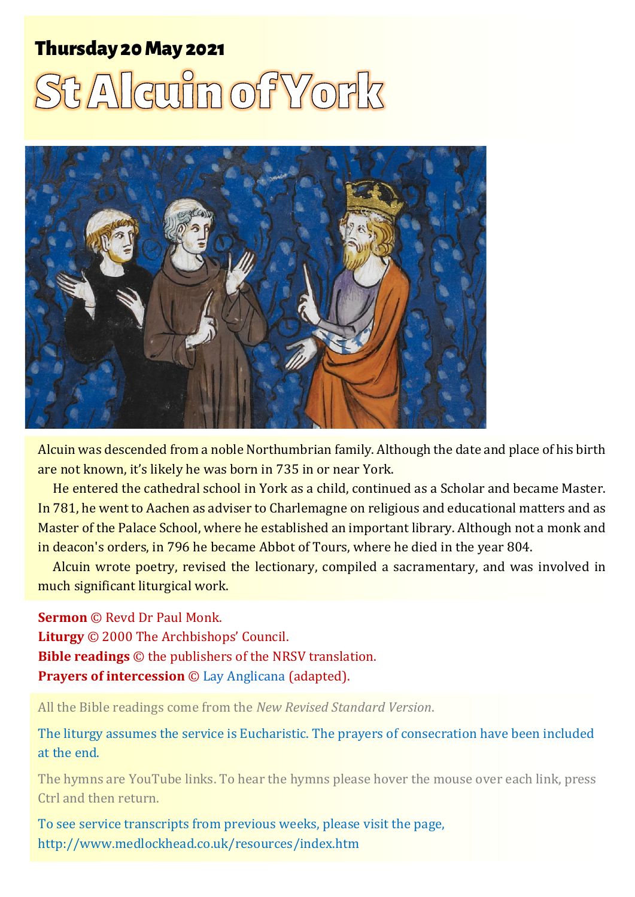# ThursThurs day 2day 20 May 0 May <sup>202</sup> 2021 <sup>1</sup> <sup>1</sup> **St Alcuin of York SEAlcuin of York**



Alcuin was descended from a noble Northumbrian family. Although the date and place of his birth are not known, it's likely he was born in 735 in or near York.

He entered the cathedral school in York as a child, continued as a Scholar and became Master. In 781, he went to Aachen as adviser to Charlemagne on religious and educational matters and as Master of the Palace School, where he established an important library. Although not a monk and in deacon's orders, in 796 he became Abbot of Tours, where he died in the year 804.

Alcuin wrote poetry, revised the lectionary, compiled a sacramentary, and was involved in much significant liturgical work.

**Sermon** © Revd Dr Paul Monk. **Liturgy** © 2000 The Archbishops' Council. **Bible readings** © the publishers of the NRSV translation. **Prayers of intercession** © [Lay Anglicana](http://www.layanglicana.org/blog/2013/04/10/intercessions-for-third-sunday-of-easter-14-april-2013/) (adapted).

All the Bible readings come from the *New Revised Standard Version*.

The liturgy assumes the service is Eucharistic. The prayers of consecration have been included at the end.

The hymns are YouTube links. To hear the hymns please hover the mouse over each link, press Ctrl and then return.

To see service transcripts from previous weeks, please visit the page, <http://www.medlockhead.co.uk/resources/index.htm>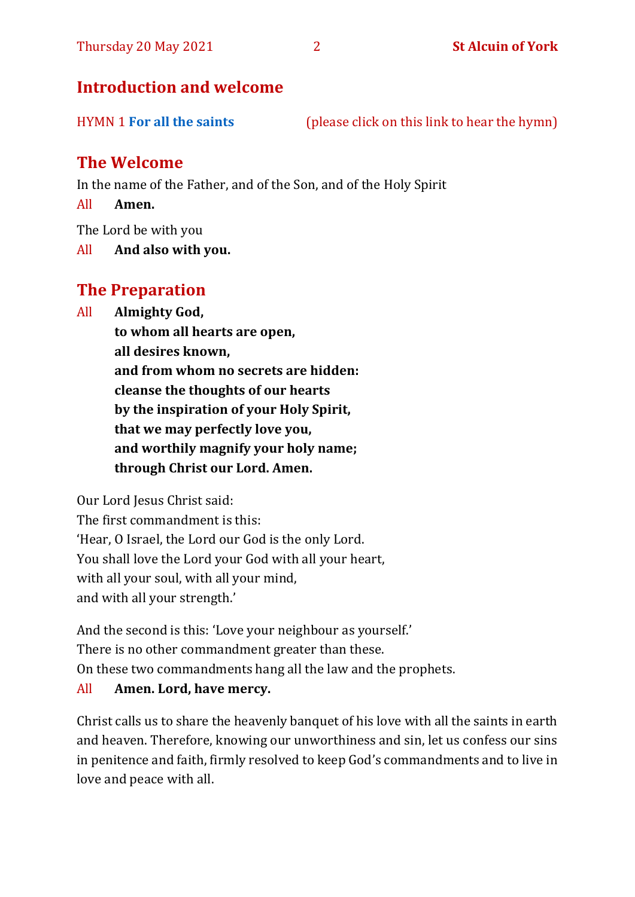# **Introduction and welcome**

| <b>HYMN 1 For all the saints</b><br>(please click on this link to hear the hymn) |
|----------------------------------------------------------------------------------|
|----------------------------------------------------------------------------------|

## **The Welcome**

In the name of the Father, and of the Son, and of the Holy Spirit

All **Amen.**

The Lord be with you

All **And also with you.**

# **The Preparation**

All **Almighty God,**

**to whom all hearts are open, all desires known, and from whom no secrets are hidden: cleanse the thoughts of our hearts by the inspiration of your Holy Spirit, that we may perfectly love you, and worthily magnify your holy name; through Christ our Lord. Amen.**

Our Lord Jesus Christ said:

The first commandment is this: 'Hear, O Israel, the Lord our God is the only Lord. You shall love the Lord your God with all your heart, with all your soul, with all your mind, and with all your strength.'

And the second is this: 'Love your neighbour as yourself.' There is no other commandment greater than these. On these two commandments hang all the law and the prophets.

#### All **Amen. Lord, have mercy.**

Christ calls us to share the heavenly banquet of his love with all the saints in earth and heaven. Therefore, knowing our unworthiness and sin, let us confess our sins in penitence and faith, firmly resolved to keep God's commandments and to live in love and peace with all.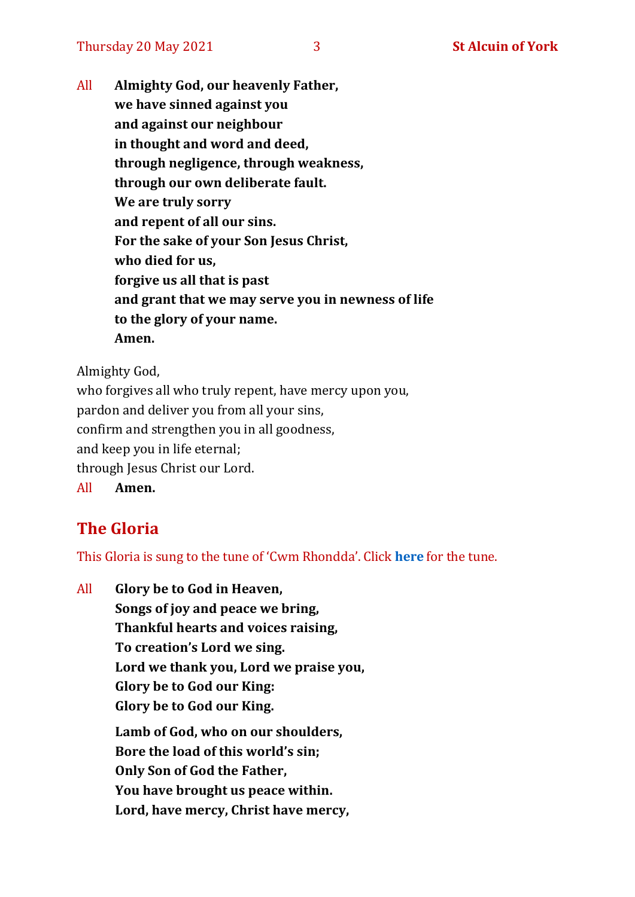All **Almighty God, our heavenly Father, we have sinned against you and against our neighbour in thought and word and deed, through negligence, through weakness, through our own deliberate fault. We are truly sorry and repent of all our sins. For the sake of your Son Jesus Christ, who died for us, forgive us all that is past and grant that we may serve you in newness of life to the glory of your name. Amen.**

Almighty God,

who forgives all who truly repent, have mercy upon you, pardon and deliver you from all your sins, confirm and strengthen you in all goodness, and keep you in life eternal; through Jesus Christ our Lord. All **Amen.**

# **The Gloria**

This Gloria is sung to the tune of 'Cwm Rhondda'. Click **[here](https://www.youtube.com/watch?v=l71MLQ22dIk)** for the tune.

All **Glory be to God in Heaven, Songs of joy and peace we bring, Thankful hearts and voices raising, To creation's Lord we sing. Lord we thank you, Lord we praise you, Glory be to God our King: Glory be to God our King. Lamb of God, who on our shoulders, Bore the load of this world's sin; Only Son of God the Father, You have brought us peace within. Lord, have mercy, Christ have mercy,**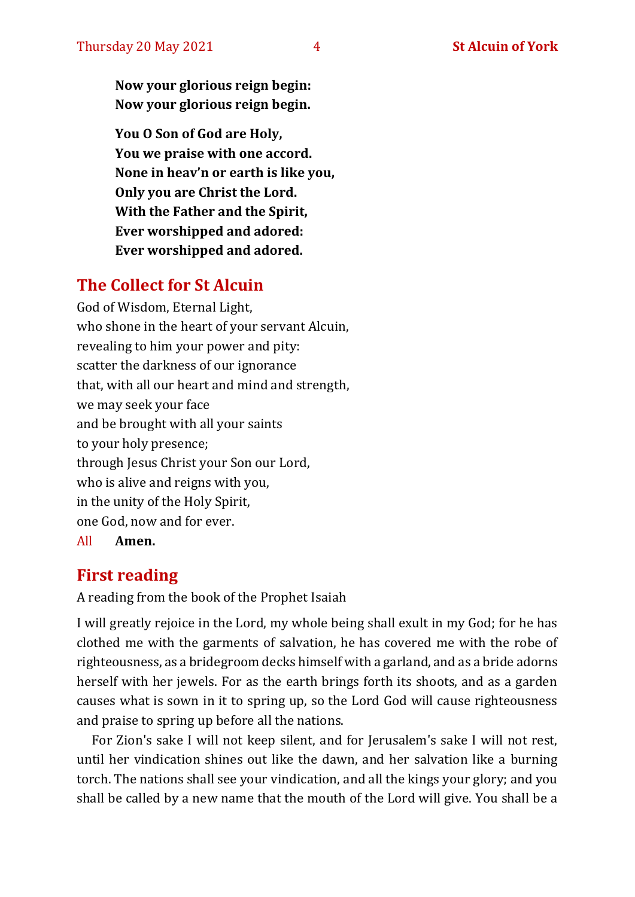**Now your glorious reign begin: Now your glorious reign begin.**

**You O Son of God are Holy, You we praise with one accord. None in heav'n or earth is like you, Only you are Christ the Lord. With the Father and the Spirit, Ever worshipped and adored: Ever worshipped and adored.**

# **The Collect for St Alcuin**

God of Wisdom, Eternal Light, who shone in the heart of your servant Alcuin, revealing to him your power and pity: scatter the darkness of our ignorance that, with all our heart and mind and strength, we may seek your face and be brought with all your saints to your holy presence; through Jesus Christ your Son our Lord, who is alive and reigns with you, in the unity of the Holy Spirit, one God, now and for ever. All **Amen.**

# **First reading**

A reading from the book of the Prophet Isaiah

I will greatly rejoice in the Lord, my whole being shall exult in my God; for he has clothed me with the garments of salvation, he has covered me with the robe of righteousness, as a bridegroom decks himself with a garland, and as a bride adorns herself with her jewels. For as the earth brings forth its shoots, and as a garden causes what is sown in it to spring up, so the Lord God will cause righteousness and praise to spring up before all the nations.

For Zion's sake I will not keep silent, and for Jerusalem's sake I will not rest, until her vindication shines out like the dawn, and her salvation like a burning torch. The nations shall see your vindication, and all the kings your glory; and you shall be called by a new name that the mouth of the Lord will give. You shall be a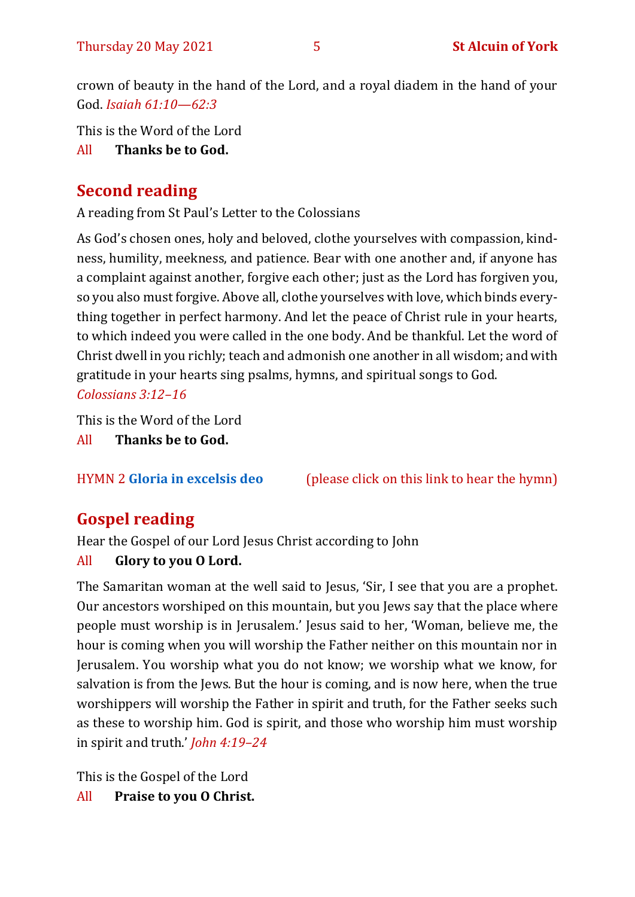crown of beauty in the hand of the Lord, and a royal diadem in the hand of your God. *Isaiah 61:10—62:3*

This is the Word of the Lord

All **Thanks be to God.**

# **Second reading**

A reading from St Paul's Letter to the Colossians

As God's chosen ones, holy and beloved, clothe yourselves with compassion, kindness, humility, meekness, and patience. Bear with one another and, if anyone has a complaint against another, forgive each other; just as the Lord has forgiven you, so you also must forgive. Above all, clothe yourselves with love, which binds everything together in perfect harmony. And let the peace of Christ rule in your hearts, to which indeed you were called in the one body. And be thankful. Let the word of Christ dwell in you richly; teach and admonish one another in all wisdom; and with gratitude in your hearts sing psalms, hymns, and spiritual songs to God. *Colossians 3:12–16*

This is the Word of the Lord

All **Thanks be to God.**

HYMN 2 **[Gloria in excelsis deo](https://www.youtube.com/watch?v=2D0ncpEMcGM)** (please click on this link to hear the hymn)

# **Gospel reading**

Hear the Gospel of our Lord Jesus Christ according to John

# All **Glory to you O Lord.**

The Samaritan woman at the well said to Jesus, 'Sir, I see that you are a prophet. Our ancestors worshiped on this mountain, but you Jews say that the place where people must worship is in Jerusalem.' Jesus said to her, 'Woman, believe me, the hour is coming when you will worship the Father neither on this mountain nor in Jerusalem. You worship what you do not know; we worship what we know, for salvation is from the Jews. But the hour is coming, and is now here, when the true worshippers will worship the Father in spirit and truth, for the Father seeks such as these to worship him. God is spirit, and those who worship him must worship in spirit and truth.' *John 4:19–24*

This is the Gospel of the Lord

All **Praise to you O Christ.**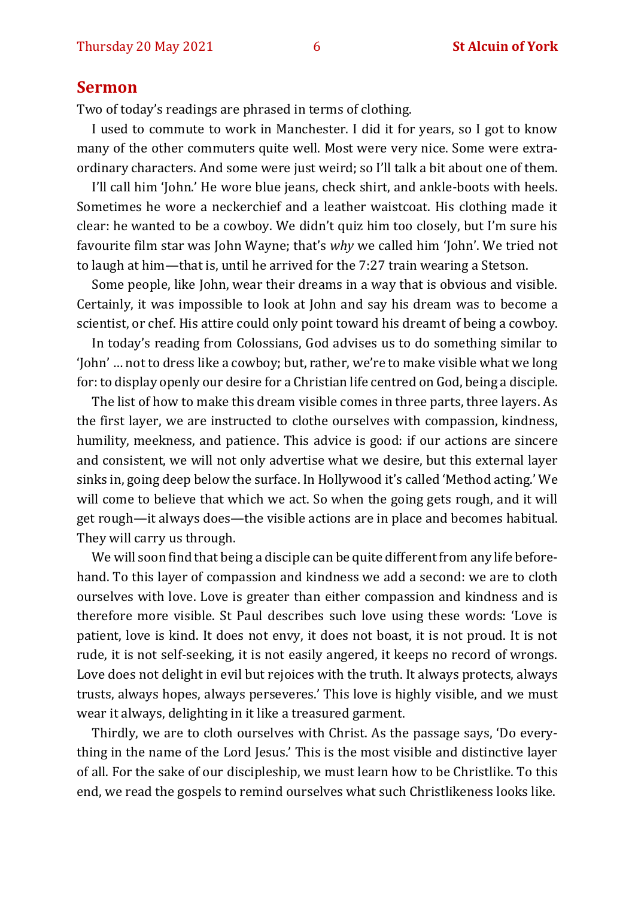#### **Sermon**

Two of today's readings are phrased in terms of clothing.

I used to commute to work in Manchester. I did it for years, so I got to know many of the other commuters quite well. Most were very nice. Some were extraordinary characters. And some were just weird; so I'll talk a bit about one of them.

I'll call him 'John.' He wore blue jeans, check shirt, and ankle-boots with heels. Sometimes he wore a neckerchief and a leather waistcoat. His clothing made it clear: he wanted to be a cowboy. We didn't quiz him too closely, but I'm sure his favourite film star was John Wayne; that's *why* we called him 'John'. We tried not to laugh at him—that is, until he arrived for the 7:27 train wearing a Stetson.

Some people, like John, wear their dreams in a way that is obvious and visible. Certainly, it was impossible to look at John and say his dream was to become a scientist, or chef. His attire could only point toward his dreamt of being a cowboy.

In today's reading from Colossians, God advises us to do something similar to 'John' … not to dress like a cowboy; but, rather, we're to make visible what we long for: to display openly our desire for a Christian life centred on God, being a disciple.

The list of how to make this dream visible comes in three parts, three layers. As the first layer, we are instructed to clothe ourselves with compassion, kindness, humility, meekness, and patience. This advice is good: if our actions are sincere and consistent, we will not only advertise what we desire, but this external layer sinks in, going deep below the surface. In Hollywood it's called 'Method acting.' We will come to believe that which we act. So when the going gets rough, and it will get rough—it always does—the visible actions are in place and becomes habitual. They will carry us through.

We will soon find that being a disciple can be quite different from any life beforehand. To this layer of compassion and kindness we add a second: we are to cloth ourselves with love. Love is greater than either compassion and kindness and is therefore more visible. St Paul describes such love using these words: 'Love is patient, love is kind. It does not envy, it does not boast, it is not proud. It is not rude, it is not self-seeking, it is not easily angered, it keeps no record of wrongs. Love does not delight in evil but rejoices with the truth. It always protects, always trusts, always hopes, always perseveres.' This love is highly visible, and we must wear it always, delighting in it like a treasured garment.

Thirdly, we are to cloth ourselves with Christ. As the passage says, 'Do everything in the name of the Lord Jesus.' This is the most visible and distinctive layer of all. For the sake of our discipleship, we must learn how to be Christlike. To this end, we read the gospels to remind ourselves what such Christlikeness looks like.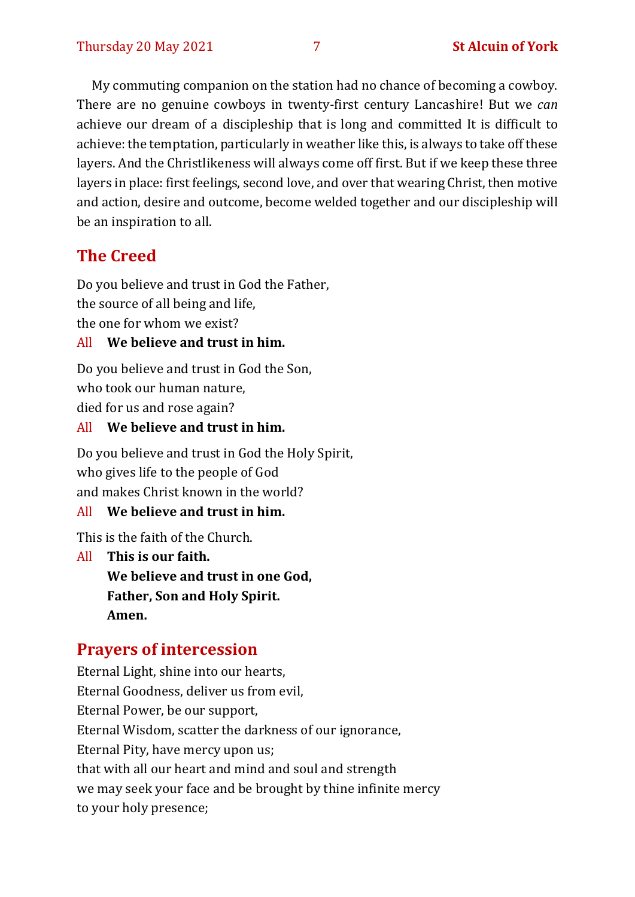My commuting companion on the station had no chance of becoming a cowboy. There are no genuine cowboys in twenty-first century Lancashire! But we *can* achieve our dream of a discipleship that is long and committed It is difficult to achieve: the temptation, particularly in weather like this, is always to take off these layers. And the Christlikeness will always come off first. But if we keep these three layers in place: first feelings, second love, and over that wearing Christ, then motive and action, desire and outcome, become welded together and our discipleship will be an inspiration to all.

# **The Creed**

Do you believe and trust in God the Father, the source of all being and life, the one for whom we exist?

#### All **We believe and trust in him.**

Do you believe and trust in God the Son, who took our human nature, died for us and rose again?

#### All **We believe and trust in him.**

Do you believe and trust in God the Holy Spirit, who gives life to the people of God and makes Christ known in the world?

#### All **We believe and trust in him.**

This is the faith of the Church.

All **This is our faith. We believe and trust in one God, Father, Son and Holy Spirit. Amen.**

#### **Prayers of intercession**

Eternal Light, shine into our hearts, Eternal Goodness, deliver us from evil, Eternal Power, be our support, Eternal Wisdom, scatter the darkness of our ignorance, Eternal Pity, have mercy upon us; that with all our heart and mind and soul and strength we may seek your face and be brought by thine infinite mercy to your holy presence;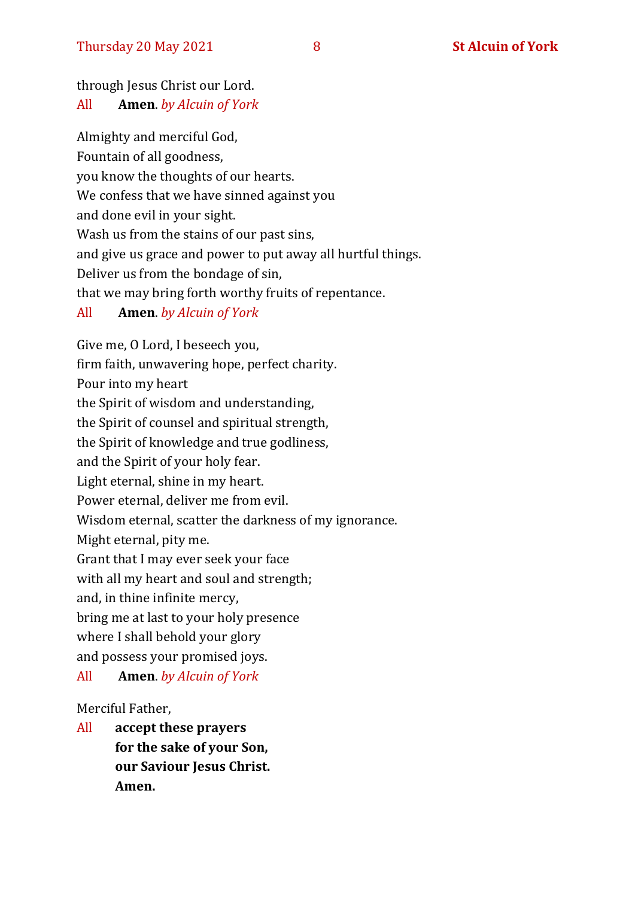### through Jesus Christ our Lord.

#### All **Amen**. *by Alcuin of York*

Almighty and merciful God, Fountain of all goodness, you know the thoughts of our hearts. We confess that we have sinned against you and done evil in your sight. Wash us from the stains of our past sins, and give us grace and power to put away all hurtful things. Deliver us from the bondage of sin, that we may bring forth worthy fruits of repentance.

#### All **Amen**. *by Alcuin of York*

Give me, O Lord, I beseech you, firm faith, unwavering hope, perfect charity. Pour into my heart the Spirit of wisdom and understanding, the Spirit of counsel and spiritual strength, the Spirit of knowledge and true godliness, and the Spirit of your holy fear. Light eternal, shine in my heart. Power eternal, deliver me from evil. Wisdom eternal, scatter the darkness of my ignorance. Might eternal, pity me. Grant that I may ever seek your face with all my heart and soul and strength; and, in thine infinite mercy, bring me at last to your holy presence where I shall behold your glory and possess your promised joys. All **Amen**. *by Alcuin of York*

#### Merciful Father,

All **accept these prayers for the sake of your Son, our Saviour Jesus Christ. Amen.**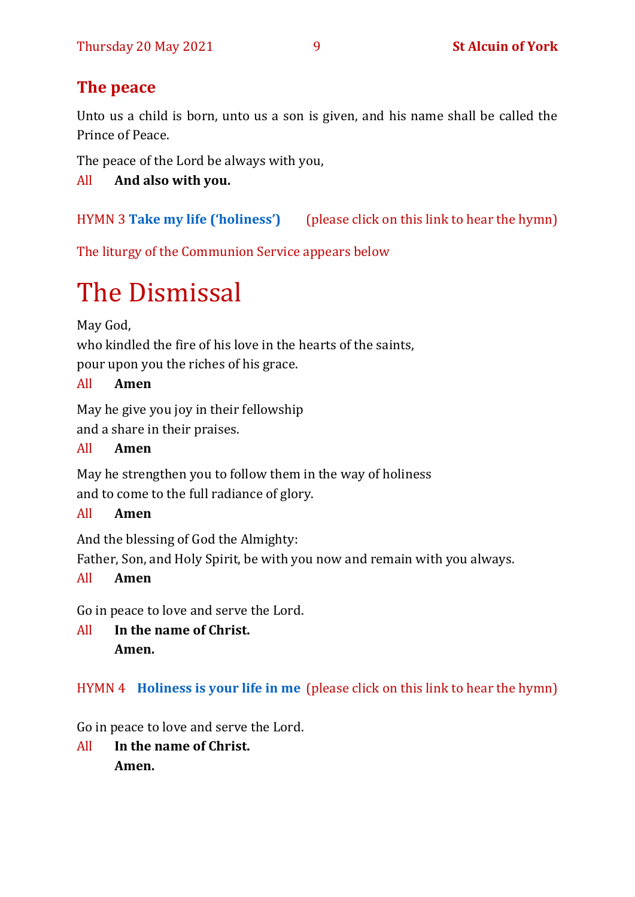# **The peace**

Unto us a child is born, unto us a son is given, and his name shall be called the Prince of Peace.

The peace of the Lord be always with you,

All **And also with you.**

HYMN 3 **[Take my life \(](https://www.youtube.com/watch?v=uHeEytocJVY)'holiness')** (please click on this link to hear the hymn)

The liturgy of the Communion Service appears below

# The Dismissal

May God,

who kindled the fire of his love in the hearts of the saints,

pour upon you the riches of his grace.

# All **Amen**

May he give you joy in their fellowship and a share in their praises.

# All **Amen**

May he strengthen you to follow them in the way of holiness and to come to the full radiance of glory.

# All **Amen**

And the blessing of God the Almighty:

Father, Son, and Holy Spirit, be with you now and remain with you always.

# All **Amen**

Go in peace to love and serve the Lord.

All **In the name of Christ. Amen.**

# HYMN 4 **[Holiness is your life in me](https://www.youtube.com/watch?v=vJDEgUks4ZI)** (please click on this link to hear the hymn)

Go in peace to love and serve the Lord.

All **In the name of Christ. Amen.**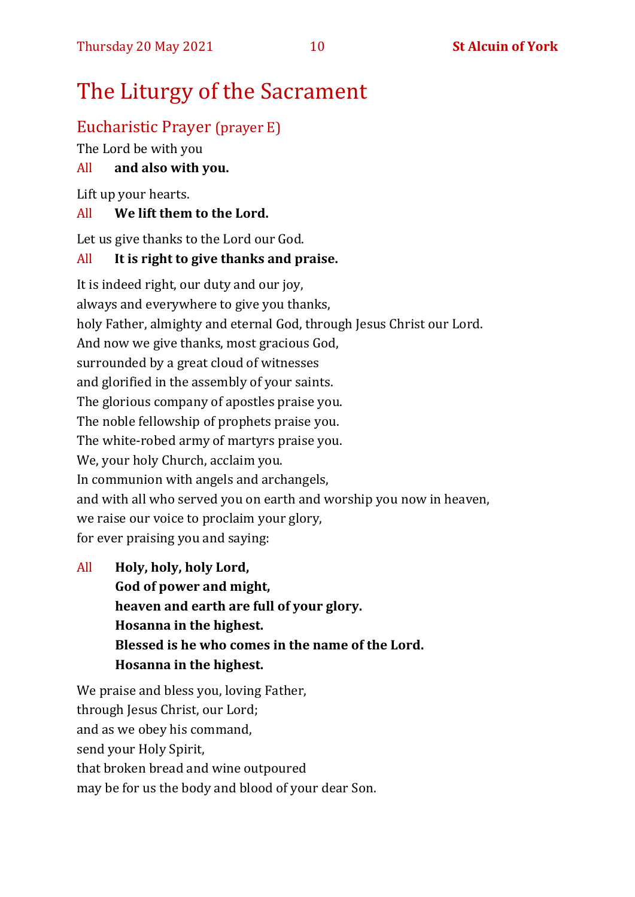# The Liturgy of the Sacrament

# Eucharistic Prayer (prayer E)

The Lord be with you

#### All **and also with you.**

Lift up your hearts.

#### All **We lift them to the Lord.**

Let us give thanks to the Lord our God.

#### All **It is right to give thanks and praise.**

It is indeed right, our duty and our joy, always and everywhere to give you thanks, holy Father, almighty and eternal God, through Jesus Christ our Lord. And now we give thanks, most gracious God, surrounded by a great cloud of witnesses and glorified in the assembly of your saints. The glorious company of apostles praise you. The noble fellowship of prophets praise you. The white-robed army of martyrs praise you. We, your holy Church, acclaim you. In communion with angels and archangels, and with all who served you on earth and worship you now in heaven, we raise our voice to proclaim your glory, for ever praising you and saying:

All **Holy, holy, holy Lord, God of power and might, heaven and earth are full of your glory. Hosanna in the highest. Blessed is he who comes in the name of the Lord. Hosanna in the highest.**

We praise and bless you, loving Father, through Jesus Christ, our Lord; and as we obey his command, send your Holy Spirit, that broken bread and wine outpoured may be for us the body and blood of your dear Son.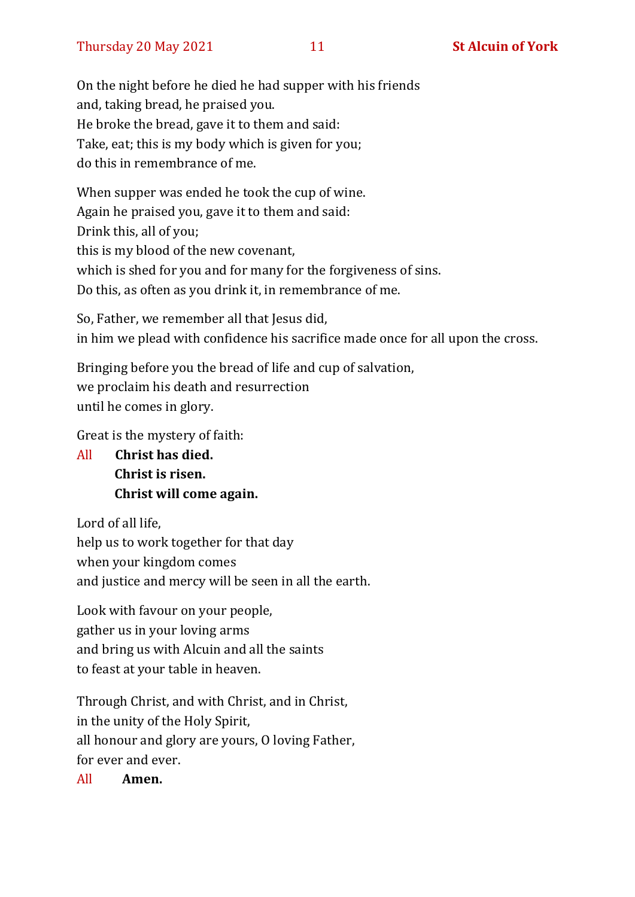On the night before he died he had supper with his friends and, taking bread, he praised you. He broke the bread, gave it to them and said: Take, eat; this is my body which is given for you; do this in remembrance of me.

When supper was ended he took the cup of wine. Again he praised you, gave it to them and said: Drink this, all of you; this is my blood of the new covenant, which is shed for you and for many for the forgiveness of sins. Do this, as often as you drink it, in remembrance of me.

So, Father, we remember all that Jesus did, in him we plead with confidence his sacrifice made once for all upon the cross.

Bringing before you the bread of life and cup of salvation, we proclaim his death and resurrection until he comes in glory.

Great is the mystery of faith:

All **Christ has died. Christ is risen. Christ will come again.**

Lord of all life, help us to work together for that day when your kingdom comes and justice and mercy will be seen in all the earth.

Look with favour on your people, gather us in your loving arms and bring us with Alcuin and all the saints to feast at your table in heaven.

Through Christ, and with Christ, and in Christ, in the unity of the Holy Spirit, all honour and glory are yours, O loving Father, for ever and ever.

All **Amen.**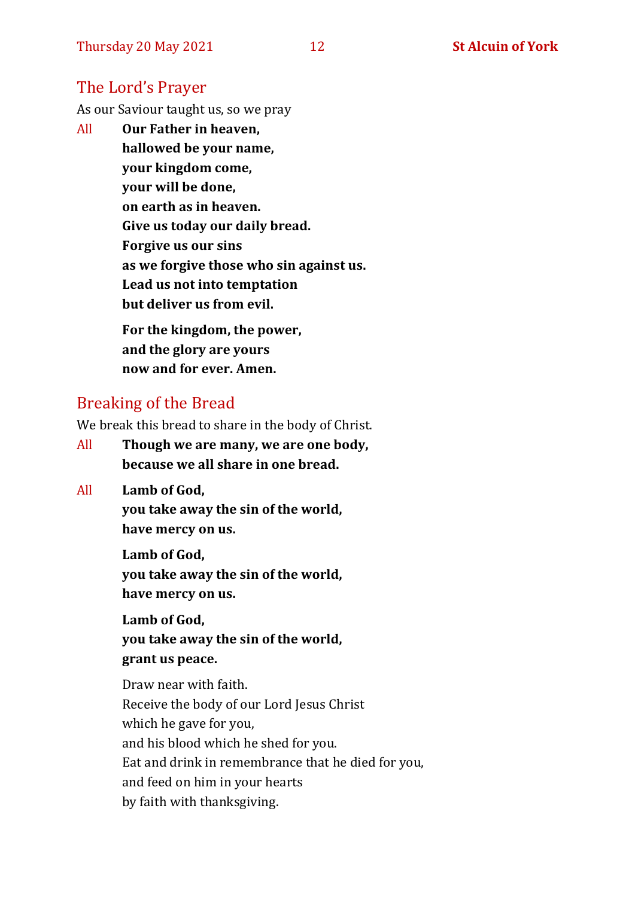### The Lord's Prayer

As our Saviour taught us, so we pray

All **Our Father in heaven, hallowed be your name, your kingdom come, your will be done, on earth as in heaven. Give us today our daily bread. Forgive us our sins as we forgive those who sin against us. Lead us not into temptation but deliver us from evil. For the kingdom, the power,** 

**and the glory are yours now and for ever. Amen.**

## Breaking of the Bread

We break this bread to share in the body of Christ.

- All **Though we are many, we are one body, because we all share in one bread.**
- All **Lamb of God,**

**you take away the sin of the world, have mercy on us.**

**Lamb of God, you take away the sin of the world, have mercy on us.**

**Lamb of God, you take away the sin of the world, grant us peace.**

Draw near with faith. Receive the body of our Lord Jesus Christ which he gave for you, and his blood which he shed for you. Eat and drink in remembrance that he died for you, and feed on him in your hearts by faith with thanksgiving.